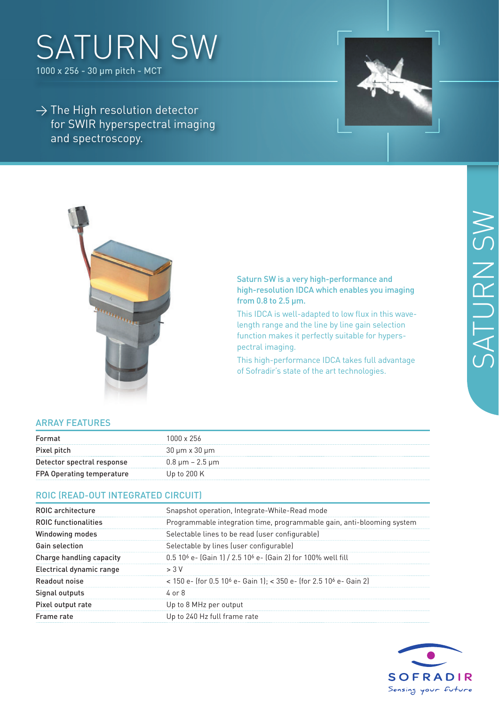# saturn SW

1000 x 256 - 30 µm pitch - MCT

 $\rightarrow$  The High resolution detector for SWIR hyperspectral imaging and spectroscopy.





#### Saturn SW is a very high-performance and high-resolution IDCA which enables you imaging from 0.8 to 2.5 µm.

This IDCA is well-adapted to low flux in this wavelength range and the line by line gain selection function makes it perfectly suitable for hyperspectral imaging.

This high-performance IDCA takes full advantage of Sofradir's state of the art technologies.

### Array Features

| Format                           | 1000 x 256              |
|----------------------------------|-------------------------|
| Pixel pitch                      | 30 µm x 30 µm           |
| Detector spectral response       | $0.8 \mu m - 2.5 \mu m$ |
| <b>FPA Operating temperature</b> | Up to $200K$            |

### ROIC (Read-out integrated circuit)

| <b>ROIC</b> architecture    | Snapshot operation, Integrate-While-Read mode                                              |
|-----------------------------|--------------------------------------------------------------------------------------------|
| <b>ROIC functionalities</b> | Programmable integration time, programmable gain, anti-blooming system                     |
| <b>Windowing modes</b>      | Selectable lines to be read (user configurable)                                            |
| Gain selection              | Selectable by lines (user configurable)                                                    |
| Charge handling capacity    | 0.5 10 <sup>6</sup> e- (Gain 1) / 2.5 10 <sup>6</sup> e- (Gain 2) for 100% well fill       |
| Electrical dynamic range    | > 3V                                                                                       |
| Readout noise               | < 150 e- (for 0.5 10 <sup>6</sup> e- Gain 1); < 350 e- (for 2.5 10 <sup>6</sup> e- Gain 2) |
| Signal outputs              | $4$ or $8$                                                                                 |
| Pixel output rate           | Up to 8 MHz per output                                                                     |
| Frame rate                  | Up to 240 Hz full frame rate                                                               |
|                             |                                                                                            |